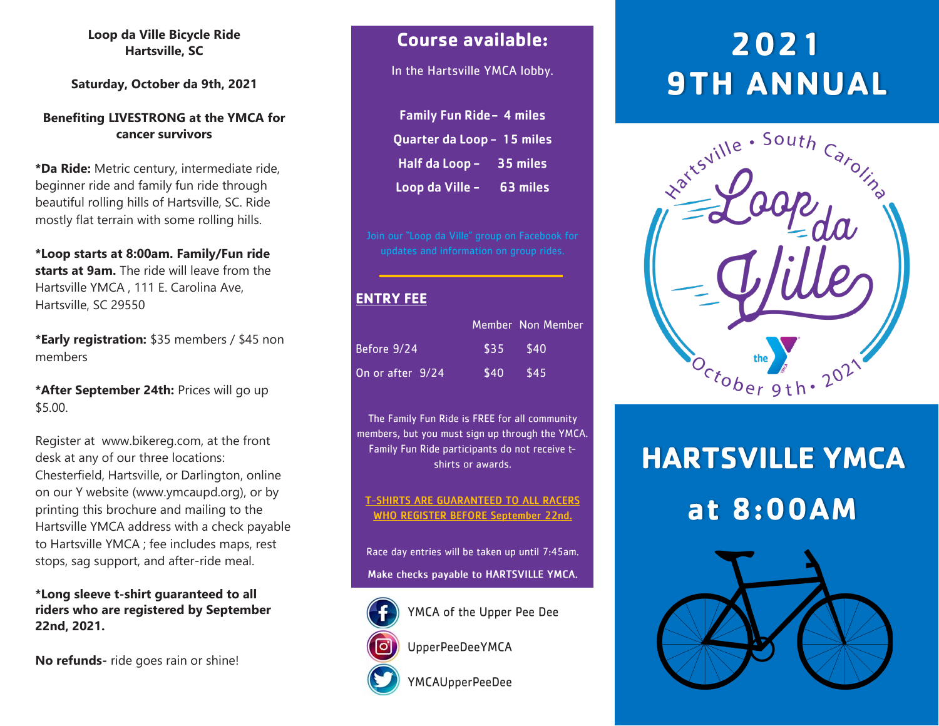#### **Loop da Ville Bicycle Ride Hartsville, SC**

**Saturday, October da 9th, 2021**

#### **Benefiting LIVESTRONG at the YMCA for cancer survivors**

**\*Da Ride:** Metric century, intermediate ride, beginner ride and family fun ride through beautiful rolling hills of Hartsville, SC. Ride mostly flat terrain with some rolling hills.

**\*Loop starts at 8:00am. Family/Fun ride starts at 9am.** The ride will leave from the Hartsville YMCA , 111 E. Carolina Ave, Hartsville, SC 29550

**\*Early registration:** \$35 members / \$45 non members

**\*After September 24th:** Prices will go up \$5.00.

Register at www.bikereg.com, at the front desk at any of our three locations: Chesterfield, Hartsville, or Darlington, online on our Y website (www.ymcaupd.org), or by printing this brochure and mailing to the Hartsville YMCA address with a check payable to Hartsville YMCA ; fee includes maps, rest stops, sag support, and after-ride meal.

**\*Long sleeve t-shirt guaranteed to all riders who are registered by September 22nd, 2021.**

**No refunds-** ride goes rain or shine!

### **Course available:**

In the Hartsville YMCA lobby.

| <b>Family Fun Ride - 4 miles</b> |          |
|----------------------------------|----------|
| Quarter da Loop - 15 miles       |          |
| Half da Loop -                   | 35 miles |
| Loop da Ville -                  | 63 miles |

### **ENTRY FEE**

|                  |            | Member Non Member |
|------------------|------------|-------------------|
| Before 9/24      | $$35$ \$40 |                   |
| On or after 9/24 | $$40$ \$45 |                   |

The Family Fun Ride is FREE for all community members, but you must sign up through the YMCA. Family Fun Ride participants do not receive tshirts or awards.

#### **T-SHIRTS ARE GUARANTEED TO ALL RACERS WHO REGISTER BEFORE September 22nd.**

Race day entries will be taken up until 7:45am. Make checks payable to HARTSVILLE YMCA.



YMCA of the Upper Pee Dee

**UpperPeeDeeYMCA** 

**YMCAUpperPeeDee** 

# 2021 **9TH ANNUAL**



# **HARTSVILLE YMCA** at 8:00AM